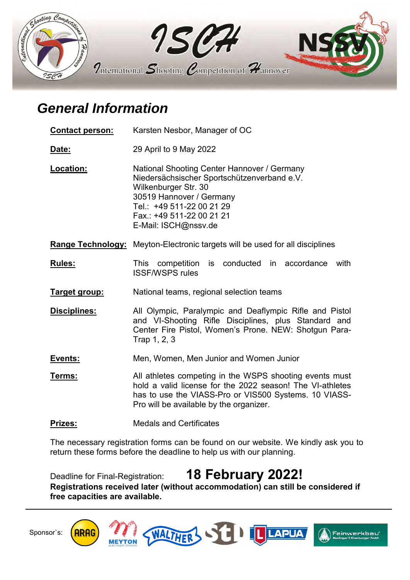

# *General Information*

| <b>Contact person:</b> | Karsten Nesbor, Manager of OC                                                                                                                                                                                                    |  |  |
|------------------------|----------------------------------------------------------------------------------------------------------------------------------------------------------------------------------------------------------------------------------|--|--|
| <u>Date:</u>           | 29 April to 9 May 2022                                                                                                                                                                                                           |  |  |
| Location:              | National Shooting Center Hannover / Germany<br>Niedersächsischer Sportschützenverband e.V.<br>Wilkenburger Str. 30<br>30519 Hannover / Germany<br>Tel.: +49 511-22 00 21 29<br>Fax.: +49 511-22 00 21 21<br>E-Mail: ISCH@nssv.de |  |  |
|                        | <b>Range Technology:</b> Meyton-Electronic targets will be used for all disciplines                                                                                                                                              |  |  |
| Rules:                 | This competition is conducted in accordance<br>with<br><b>ISSF/WSPS rules</b>                                                                                                                                                    |  |  |
| Target group:          | National teams, regional selection teams                                                                                                                                                                                         |  |  |
| Disciplines:           | All Olympic, Paralympic and Deaflympic Rifle and Pistol<br>and VI-Shooting Rifle Disciplines, plus Standard and<br>Center Fire Pistol, Women's Prone. NEW: Shotgun Para-<br>Trap 1, 2, 3                                         |  |  |
| Events:                | Men, Women, Men Junior and Women Junior                                                                                                                                                                                          |  |  |
| Terms:                 | All athletes competing in the WSPS shooting events must<br>hold a valid license for the 2022 season! The VI-athletes<br>has to use the VIASS-Pro or VIS500 Systems. 10 VIASS-<br>Pro will be available by the organizer.         |  |  |
| <b>Prizes:</b>         | <b>Medals and Certificates</b>                                                                                                                                                                                                   |  |  |

The necessary registration forms can be found on our website. We kindly ask you to return these forms before the deadline to help us with our planning.

Deadline for Final-Registration: **18 February 2022! Registrations received later (without accommodation) can still be considered if free capacities are available.** 





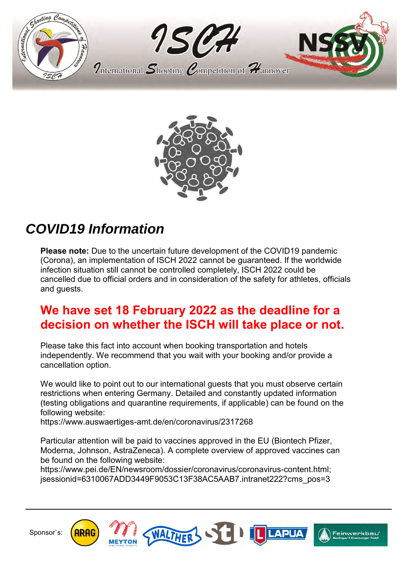



# *COVID19 Information*

**Please note:** Due to the uncertain future development of the COVID19 pandemic (Corona), an implementation of ISCH 2022 cannot be guaranteed. If the worldwide infection situation still cannot be controlled completely, ISCH 2022 could be cancelled due to official orders and in consideration of the safety for athletes, officials and guests.

## **We have set 18 February 2022 as the deadline for a decision on whether the ISCH will take place or not.**

Please take this fact into account when booking transportation and hotels independently. We recommend that you wait with your booking and/or provide a cancellation option.

We would like to point out to our international quests that you must observe certain restrictions when entering Germany. Detailed and constantly updated information (testing obligations and quarantine requirements, if applicable) can be found on the following website:

https://www.auswaertiges-amt.de/en/coronavirus/2317268

Particular attention will be paid to vaccines approved in the EU (Biontech Pfizer, Moderna, Johnson, AstraZeneca). A complete overview of approved vaccines can be found on the following website:

https://www.pei.de/EN/newsroom/dossier/coronavirus/coronavirus-content.html; [jsessionid=6310067ADD3449F9053C13F38AC5AAB7.intranet222?cms\\_pos=3](https://www.pei.de/EN/newsroom/dossier/coronavirus/coronavirus-content.html;jsessionid=6310067ADD3449F9053C13F38AC5AAB7.intranet222?cms_pos=3) 

WALTHERS SEP THAPUA

Feinwerkbau

Sponsor`s:

**ARAC**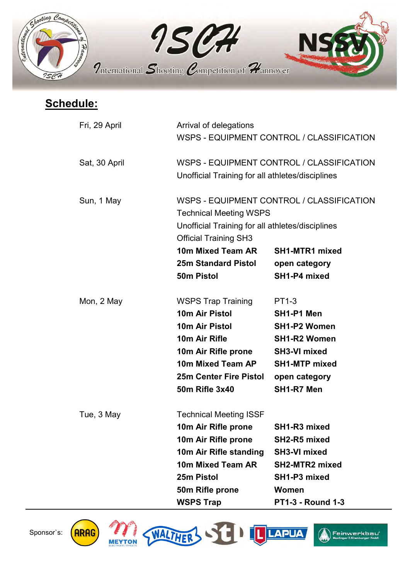

### **Schedule:**

| Fri, 29 April | Arrival of delegations<br>WSPS - EQUIPMENT CONTROL / CLASSIFICATION                                                                                                             |                                                                                                                                                 |  |
|---------------|---------------------------------------------------------------------------------------------------------------------------------------------------------------------------------|-------------------------------------------------------------------------------------------------------------------------------------------------|--|
| Sat, 30 April | WSPS - EQUIPMENT CONTROL / CLASSIFICATION<br>Unofficial Training for all athletes/disciplines                                                                                   |                                                                                                                                                 |  |
| Sun, 1 May    | WSPS - EQUIPMENT CONTROL / CLASSIFICATION<br><b>Technical Meeting WSPS</b><br>Unofficial Training for all athletes/disciplines<br><b>Official Training SH3</b>                  |                                                                                                                                                 |  |
|               | 10m Mixed Team AR                                                                                                                                                               | <b>SH1-MTR1 mixed</b>                                                                                                                           |  |
|               | <b>25m Standard Pistol</b>                                                                                                                                                      | open category                                                                                                                                   |  |
|               | 50m Pistol                                                                                                                                                                      | SH1-P4 mixed                                                                                                                                    |  |
| Mon, 2 May    | <b>WSPS Trap Training</b><br>10m Air Pistol<br>10m Air Pistol<br>10m Air Rifle<br>10m Air Rifle prone<br>10m Mixed Team AP<br>25m Center Fire Pistol<br>50m Rifle 3x40          | PT1-3<br>SH1-P1 Men<br><b>SH1-P2 Women</b><br><b>SH1-R2 Women</b><br><b>SH3-VI mixed</b><br><b>SH1-MTP mixed</b><br>open category<br>SH1-R7 Men |  |
| Tue, 3 May    | <b>Technical Meeting ISSF</b><br>10m Air Rifle prone<br>10m Air Rifle prone<br>10m Air Rifle standing<br>10m Mixed Team AR<br>25m Pistol<br>50m Rifle prone<br><b>WSPS Trap</b> | SH1-R3 mixed<br>SH2-R5 mixed<br><b>SH3-VI mixed</b><br><b>SH2-MTR2 mixed</b><br>SH1-P3 mixed<br>Women<br><b>PT1-3 - Round 1-3</b>               |  |





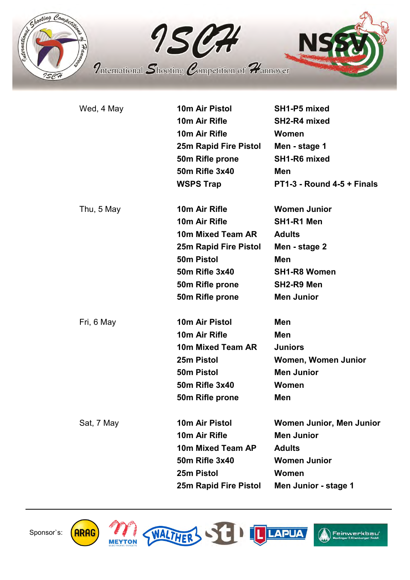

| Wed, 4 May | 10m Air Pistol        | SH1-P5 mixed               |
|------------|-----------------------|----------------------------|
|            | 10m Air Rifle         | SH2-R4 mixed               |
|            | 10m Air Rifle         | Women                      |
|            | 25m Rapid Fire Pistol | Men - stage 1              |
|            | 50m Rifle prone       | SH1-R6 mixed               |
|            | 50m Rifle 3x40        | Men                        |
|            | <b>WSPS Trap</b>      | PT1-3 - Round 4-5 + Finals |
| Thu, 5 May | 10m Air Rifle         | <b>Women Junior</b>        |
|            | 10m Air Rifle         | SH1-R1 Men                 |
|            | 10m Mixed Team AR     | <b>Adults</b>              |
|            | 25m Rapid Fire Pistol | Men - stage 2              |
|            | 50m Pistol            | Men                        |
|            | 50m Rifle 3x40        | <b>SH1-R8 Women</b>        |
|            | 50m Rifle prone       | SH2-R9 Men                 |
|            | 50m Rifle prone       | <b>Men Junior</b>          |
| Fri, 6 May | 10m Air Pistol        | <b>Men</b>                 |
|            | 10m Air Rifle         | Men                        |
|            | 10m Mixed Team AR     | <b>Juniors</b>             |
|            | 25m Pistol            | Women, Women Junior        |
|            | 50m Pistol            | <b>Men Junior</b>          |
|            | 50m Rifle 3x40        | Women                      |
|            | 50m Rifle prone       | Men                        |
| Sat, 7 May | 10m Air Pistol        | Women Junior, Men Junior   |
|            | 10m Air Rifle         | <b>Men Junior</b>          |
|            | 10m Mixed Team AP     | <b>Adults</b>              |
|            | 50m Rifle 3x40        | <b>Women Junior</b>        |
|            | 25m Pistol            | Women                      |
|            | 25m Rapid Fire Pistol | Men Junior - stage 1       |
|            |                       |                            |

Sponsor`s:





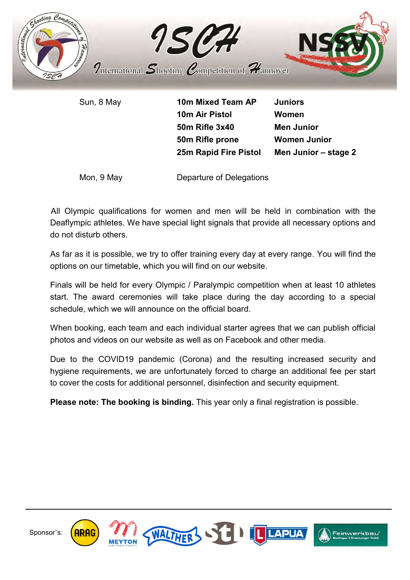

 Sun, 8 May **10m Mixed Team AP Juniors 10m Air Pistol Women 50m Rifle 3x40 Men Junior 50m Rifle prone Women Junior 25m Rapid Fire Pistol Men Junior – stage 2** 

**Mon, 9 May Consense Conservators** Departure of Delegations

 All Olympic qualifications for women and men will be held in combination with the Deaflympic athletes. We have special light signals that provide all necessary options and do not disturb others.

As far as it is possible, we try to offer training every day at every range. You will find the options on our timetable, which you will find on our website.

Finals will be held for every Olympic / Paralympic competition when at least 10 athletes start. The award ceremonies will take place during the day according to a special schedule, which we will announce on the official board.

When booking, each team and each individual starter agrees that we can publish official photos and videos on our website as well as on Facebook and other media.

Due to the COVID19 pandemic (Corona) and the resulting increased security and hygiene requirements, we are unfortunately forced to charge an additional fee per start to cover the costs for additional personnel, disinfection and security equipment.

**Please note: The booking is binding.** This year only a final registration is possible.





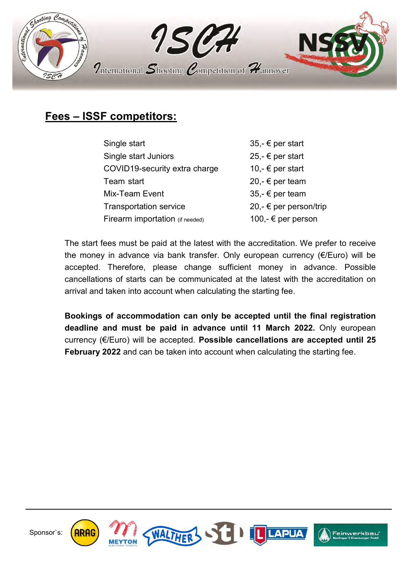

#### **Fees – ISSF competitors:**

| Single start                    | 35,- $∈$ per start      |
|---------------------------------|-------------------------|
| Single start Juniors            | 25,- € per start        |
| COVID19-security extra charge   | 10,- $∈$ per start      |
| Team start                      | 20,- € per team         |
| Mix-Team Event                  | $35,-\epsilon$ per team |
| <b>Transportation service</b>   | 20,- € per person/trip  |
| Firearm importation (if needed) | 100,- € per person      |

The start fees must be paid at the latest with the [accreditation.](http://www.i-s-c-h.de/index.php/en/information/accreditation) We prefer to receive the money in advance via bank transfer. Only european currency (€/Euro) will be accepted. Therefore, please change sufficient money in advance. Possible cancellations of starts can be communicated at the latest with the [accreditation](http://www.i-s-c-h.de/index.php/en/information/accreditation) on arrival and taken into account when calculating the starting fee.

**Bookings of accommodation can only be accepted until the final registration deadline and must be paid in advance until 11 March 2022.** Only european currency (€/Euro) will be accepted. **Possible cancellations are accepted until 25 February 2022** and can be taken into account when calculating the starting fee.



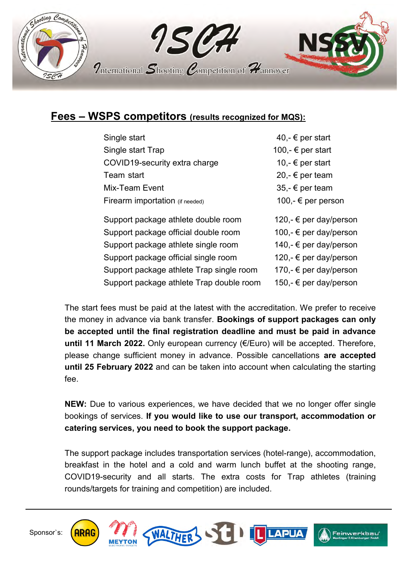

#### **Fees – WSPS competitors (results recognized for MQS):**

| Single start                             | 40,- € per start        |
|------------------------------------------|-------------------------|
| Single start Trap                        | 100,- $∈$ per start     |
| COVID19-security extra charge            | 10,- € per start        |
| Team start                               | 20,- € per team         |
| Mix-Team Event                           | $35,-\epsilon$ per team |
| Firearm importation (if needed)          | 100,- $∈$ per person    |
| Support package athlete double room      | 120,- € per day/person  |
| Support package official double room     | 100,- € per day/person  |
| Support package athlete single room      | 140,- € per day/person  |
| Support package official single room     | 120,- € per day/person  |
| Support package athlete Trap single room | 170,- € per day/person  |
| Support package athlete Trap double room | 150,- € per day/person  |

The start fees must be paid at the latest with the [accreditation.](http://www.i-s-c-h.de/index.php/en/information/accreditation) We prefer to receive the money in advance via bank transfer. **Bookings of support packages can only be accepted until the final registration deadline and must be paid in advance until 11 March 2022.** Only european currency (€/Euro) will be accepted. Therefore, please change sufficient money in advance. Possible cancellations **are accepted until 25 February 2022** and can be taken into account when calculating the starting fee.

**NEW:** Due to various experiences, we have decided that we no longer offer single bookings of services. **If you would like to use our transport, accommodation or catering services, you need to book the support package.**

 The support package includes transportation services (hotel-range), accommodation, breakfast in the hotel and a cold and warm lunch buffet at the shooting range, COVID19-security and all starts. The extra costs for Trap athletes (training rounds/targets for training and competition) are included.





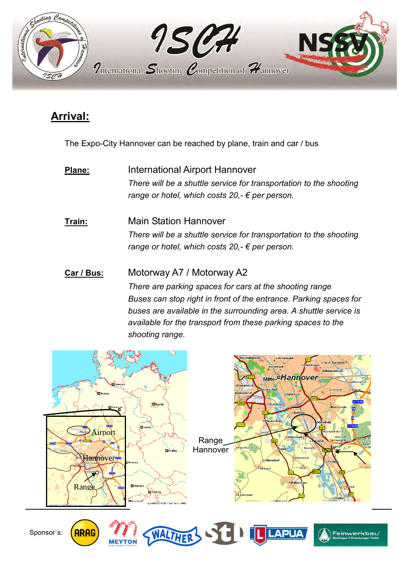

## **Arrival:**

The Expo-City Hannover can be reached by plane, train and car / bus

- **Plane:** International Airport Hannover *There will be a shuttle service for transportation to the shooting range or hotel, which costs 20,- € per person.*
- **Train:** Main Station Hannover *There will be a shuttle service for transportation to the shooting range or hotel, which costs 20,- € per person.*
- **Car / Bus:** Motorway A7 / Motorway A2 *There are parking spaces for cars at the shooting range Buses can stop right in front of the entrance. Parking spaces for buses are available in the surrounding area. A shuttle service is available for the transport from these parking spaces to the shooting range.*

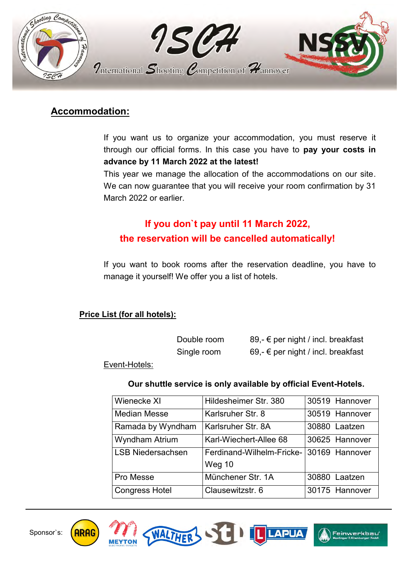

#### **Accommodation:**

If you want us to organize your accommodation, you must reserve it through our official forms. In this case you have to **pay your costs in advance by 11 March 2022 at the latest!** 

 This year we manage the allocation of the accommodations on our site. We can now guarantee that you will receive your room confirmation by 31 March 2022 or earlier.

#### **If you don`t pay until 11 March 2022, the reservation will be cancelled automatically!**

 If you want to book rooms after the reservation deadline, you have to manage it yourself! We offer you a list of hotels.

#### **Price List (for all hotels):**

| Double room | 89,- $€$ per night / incl. breakfast |
|-------------|--------------------------------------|
| Single room | 69,- $∈$ per night / incl. breakfast |

Event-Hotels:

#### **Our shuttle service is only available by official Event-Hotels.**

| Wienecke XI              | Hildesheimer Str. 380                    | 30519 Hannover |
|--------------------------|------------------------------------------|----------------|
| <b>Median Messe</b>      | Karlsruher Str. 8                        | 30519 Hannover |
| Ramada by Wyndham        | Karlsruher Str. 8A                       | 30880 Laatzen  |
| <b>Wyndham Atrium</b>    | Karl-Wiechert-Allee 68                   | 30625 Hannover |
| <b>LSB Niedersachsen</b> | Ferdinand-Wilhelm-Fricke-130169 Hannover |                |
|                          | Weg $10$                                 |                |
| Pro Messe                | Münchener Str. 1A                        | 30880 Laatzen  |
| <b>Congress Hotel</b>    | Clausewitzstr. 6                         | 30175 Hannover |